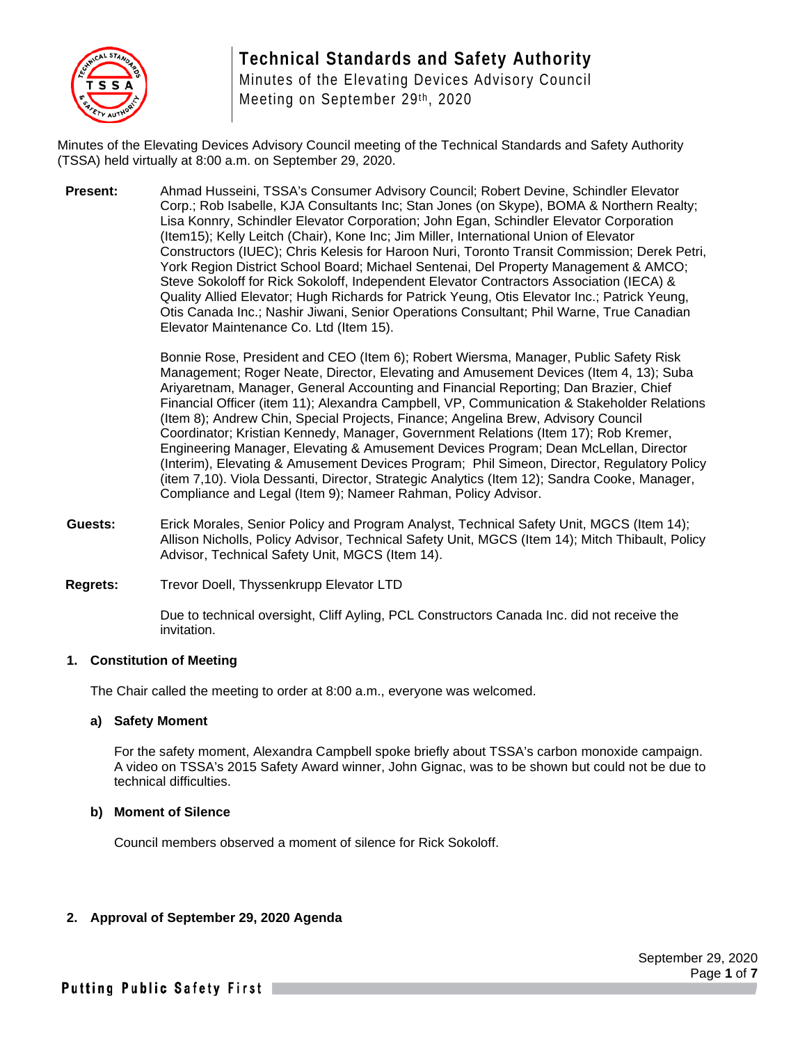

# **Technical Standards and Safety Authority**

Minutes of the Elevating Devices Advisory Council Meeting on September 29th, 2020

Minutes of the Elevating Devices Advisory Council meeting of the Technical Standards and Safety Authority (TSSA) held virtually at 8:00 a.m. on September 29, 2020.

**Present:** Ahmad Husseini, TSSA's Consumer Advisory Council; Robert Devine, Schindler Elevator Corp.; Rob Isabelle, KJA Consultants Inc; Stan Jones (on Skype), BOMA & Northern Realty; Lisa Konnry, Schindler Elevator Corporation; John Egan, Schindler Elevator Corporation (Item15); Kelly Leitch (Chair), Kone Inc; Jim Miller, International Union of Elevator Constructors (IUEC); Chris Kelesis for Haroon Nuri, Toronto Transit Commission; Derek Petri, York Region District School Board; Michael Sentenai, Del Property Management & AMCO; Steve Sokoloff for Rick Sokoloff, Independent Elevator Contractors Association (IECA) & Quality Allied Elevator; Hugh Richards for Patrick Yeung, Otis Elevator Inc.; Patrick Yeung, Otis Canada Inc.; Nashir Jiwani, Senior Operations Consultant; Phil Warne, True Canadian Elevator Maintenance Co. Ltd (Item 15).

> Bonnie Rose, President and CEO (Item 6); Robert Wiersma, Manager, Public Safety Risk Management; Roger Neate, Director, Elevating and Amusement Devices (Item 4, 13); Suba Ariyaretnam, Manager, General Accounting and Financial Reporting; Dan Brazier, Chief Financial Officer (item 11); Alexandra Campbell, VP, Communication & Stakeholder Relations (Item 8); Andrew Chin, Special Projects, Finance; Angelina Brew, Advisory Council Coordinator; Kristian Kennedy, Manager, Government Relations (Item 17); Rob Kremer, Engineering Manager, Elevating & Amusement Devices Program; Dean McLellan, Director (Interim), Elevating & Amusement Devices Program; Phil Simeon, Director, Regulatory Policy (item 7,10). Viola Dessanti, Director, Strategic Analytics (Item 12); Sandra Cooke, Manager, Compliance and Legal (Item 9); Nameer Rahman, Policy Advisor.

- **Guests:** Erick Morales, Senior Policy and Program Analyst, Technical Safety Unit, MGCS (Item 14); Allison Nicholls, Policy Advisor, Technical Safety Unit, MGCS (Item 14); Mitch Thibault, Policy Advisor, Technical Safety Unit, MGCS (Item 14).
- **Regrets:** Trevor Doell, Thyssenkrupp Elevator LTD

Due to technical oversight, Cliff Ayling, PCL Constructors Canada Inc. did not receive the invitation.

#### **1. Constitution of Meeting**

The Chair called the meeting to order at 8:00 a.m., everyone was welcomed.

#### **a) Safety Moment**

For the safety moment, Alexandra Campbell spoke briefly about TSSA's carbon monoxide campaign. A video on TSSA's 2015 Safety Award winner, John Gignac, was to be shown but could not be due to technical difficulties.

#### **b) Moment of Silence**

Council members observed a moment of silence for Rick Sokoloff.

#### **2. Approval of September 29, 2020 Agenda**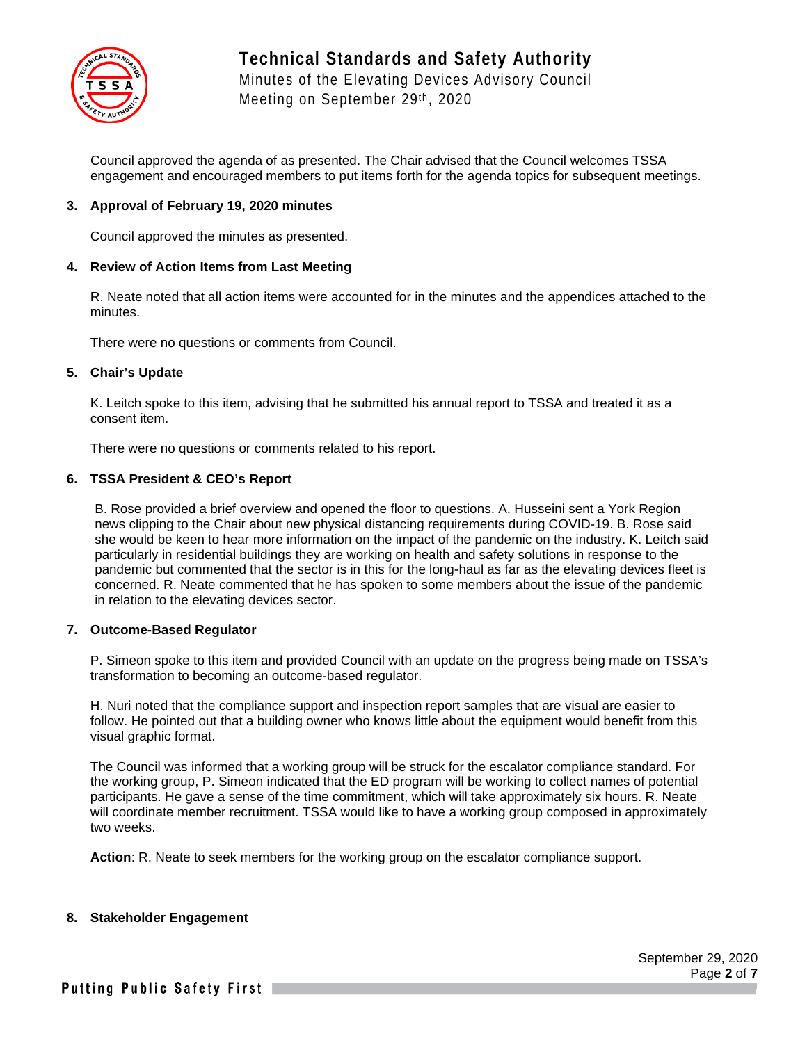

Council approved the agenda of as presented. The Chair advised that the Council welcomes TSSA engagement and encouraged members to put items forth for the agenda topics for subsequent meetings.

#### **3. Approval of February 19, 2020 minutes**

Council approved the minutes as presented.

#### **4. Review of Action Items from Last Meeting**

R. Neate noted that all action items were accounted for in the minutes and the appendices attached to the minutes.

There were no questions or comments from Council.

#### **5. Chair's Update**

K. Leitch spoke to this item, advising that he submitted his annual report to TSSA and treated it as a consent item.

There were no questions or comments related to his report.

#### **6. TSSA President & CEO's Report**

B. Rose provided a brief overview and opened the floor to questions. A. Husseini sent a York Region news clipping to the Chair about new physical distancing requirements during COVID-19. B. Rose said she would be keen to hear more information on the impact of the pandemic on the industry. K. Leitch said particularly in residential buildings they are working on health and safety solutions in response to the pandemic but commented that the sector is in this for the long-haul as far as the elevating devices fleet is concerned. R. Neate commented that he has spoken to some members about the issue of the pandemic in relation to the elevating devices sector.

#### **7. Outcome-Based Regulator**

P. Simeon spoke to this item and provided Council with an update on the progress being made on TSSA's transformation to becoming an outcome-based regulator.

H. Nuri noted that the compliance support and inspection report samples that are visual are easier to follow. He pointed out that a building owner who knows little about the equipment would benefit from this visual graphic format.

The Council was informed that a working group will be struck for the escalator compliance standard. For the working group, P. Simeon indicated that the ED program will be working to collect names of potential participants. He gave a sense of the time commitment, which will take approximately six hours. R. Neate will coordinate member recruitment. TSSA would like to have a working group composed in approximately two weeks.

**Action**: R. Neate to seek members for the working group on the escalator compliance support.

#### **8. Stakeholder Engagement**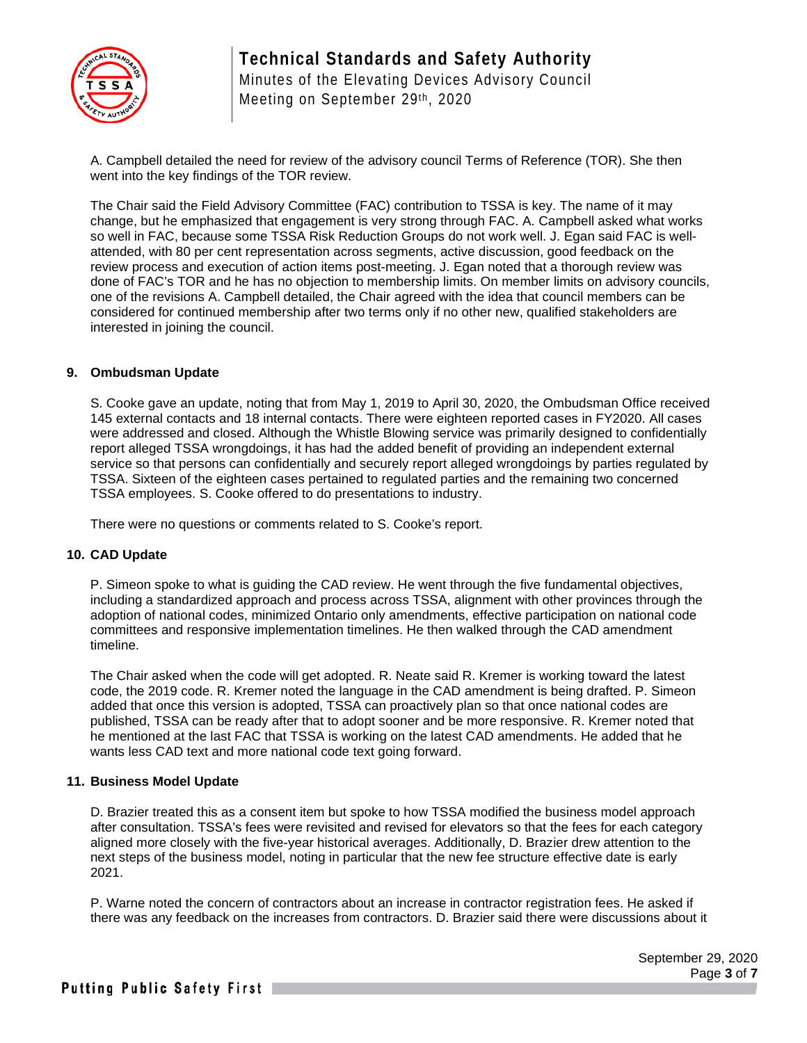

A. Campbell detailed the need for review of the advisory council Terms of Reference (TOR). She then went into the key findings of the TOR review.

The Chair said the Field Advisory Committee (FAC) contribution to TSSA is key. The name of it may change, but he emphasized that engagement is very strong through FAC. A. Campbell asked what works so well in FAC, because some TSSA Risk Reduction Groups do not work well. J. Egan said FAC is wellattended, with 80 per cent representation across segments, active discussion, good feedback on the review process and execution of action items post-meeting. J. Egan noted that a thorough review was done of FAC's TOR and he has no objection to membership limits. On member limits on advisory councils, one of the revisions A. Campbell detailed, the Chair agreed with the idea that council members can be considered for continued membership after two terms only if no other new, qualified stakeholders are interested in joining the council.

#### **9. Ombudsman Update**

S. Cooke gave an update, noting that from May 1, 2019 to April 30, 2020, the Ombudsman Office received 145 external contacts and 18 internal contacts. There were eighteen reported cases in FY2020. All cases were addressed and closed. Although the Whistle Blowing service was primarily designed to confidentially report alleged TSSA wrongdoings, it has had the added benefit of providing an independent external service so that persons can confidentially and securely report alleged wrongdoings by parties regulated by TSSA. Sixteen of the eighteen cases pertained to regulated parties and the remaining two concerned TSSA employees. S. Cooke offered to do presentations to industry.

There were no questions or comments related to S. Cooke's report.

#### **10. CAD Update**

P. Simeon spoke to what is guiding the CAD review. He went through the five fundamental objectives, including a standardized approach and process across TSSA, alignment with other provinces through the adoption of national codes, minimized Ontario only amendments, effective participation on national code committees and responsive implementation timelines. He then walked through the CAD amendment timeline.

The Chair asked when the code will get adopted. R. Neate said R. Kremer is working toward the latest code, the 2019 code. R. Kremer noted the language in the CAD amendment is being drafted. P. Simeon added that once this version is adopted, TSSA can proactively plan so that once national codes are published, TSSA can be ready after that to adopt sooner and be more responsive. R. Kremer noted that he mentioned at the last FAC that TSSA is working on the latest CAD amendments. He added that he wants less CAD text and more national code text going forward.

#### **11. Business Model Update**

D. Brazier treated this as a consent item but spoke to how TSSA modified the business model approach after consultation. TSSA's fees were revisited and revised for elevators so that the fees for each category aligned more closely with the five-year historical averages. Additionally, D. Brazier drew attention to the next steps of the business model, noting in particular that the new fee structure effective date is early 2021.

P. Warne noted the concern of contractors about an increase in contractor registration fees. He asked if there was any feedback on the increases from contractors. D. Brazier said there were discussions about it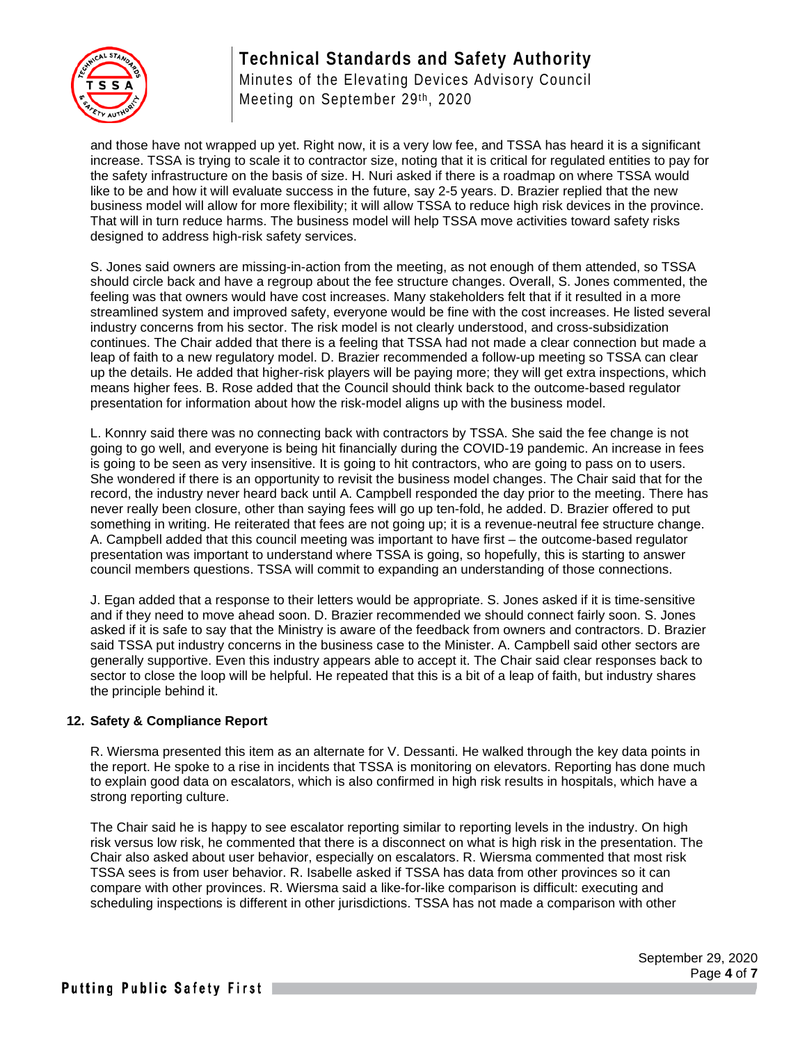## **Technical Standards and Safety Authority**



Minutes of the Elevating Devices Advisory Council Meeting on September 29th, 2020

and those have not wrapped up yet. Right now, it is a very low fee, and TSSA has heard it is a significant increase. TSSA is trying to scale it to contractor size, noting that it is critical for regulated entities to pay for the safety infrastructure on the basis of size. H. Nuri asked if there is a roadmap on where TSSA would like to be and how it will evaluate success in the future, say 2-5 years. D. Brazier replied that the new business model will allow for more flexibility; it will allow TSSA to reduce high risk devices in the province. That will in turn reduce harms. The business model will help TSSA move activities toward safety risks designed to address high-risk safety services.

S. Jones said owners are missing-in-action from the meeting, as not enough of them attended, so TSSA should circle back and have a regroup about the fee structure changes. Overall, S. Jones commented, the feeling was that owners would have cost increases. Many stakeholders felt that if it resulted in a more streamlined system and improved safety, everyone would be fine with the cost increases. He listed several industry concerns from his sector. The risk model is not clearly understood, and cross-subsidization continues. The Chair added that there is a feeling that TSSA had not made a clear connection but made a leap of faith to a new regulatory model. D. Brazier recommended a follow-up meeting so TSSA can clear up the details. He added that higher-risk players will be paying more; they will get extra inspections, which means higher fees. B. Rose added that the Council should think back to the outcome-based regulator presentation for information about how the risk-model aligns up with the business model.

L. Konnry said there was no connecting back with contractors by TSSA. She said the fee change is not going to go well, and everyone is being hit financially during the COVID-19 pandemic. An increase in fees is going to be seen as very insensitive. It is going to hit contractors, who are going to pass on to users. She wondered if there is an opportunity to revisit the business model changes. The Chair said that for the record, the industry never heard back until A. Campbell responded the day prior to the meeting. There has never really been closure, other than saying fees will go up ten-fold, he added. D. Brazier offered to put something in writing. He reiterated that fees are not going up; it is a revenue-neutral fee structure change. A. Campbell added that this council meeting was important to have first – the outcome-based regulator presentation was important to understand where TSSA is going, so hopefully, this is starting to answer council members questions. TSSA will commit to expanding an understanding of those connections.

J. Egan added that a response to their letters would be appropriate. S. Jones asked if it is time-sensitive and if they need to move ahead soon. D. Brazier recommended we should connect fairly soon. S. Jones asked if it is safe to say that the Ministry is aware of the feedback from owners and contractors. D. Brazier said TSSA put industry concerns in the business case to the Minister. A. Campbell said other sectors are generally supportive. Even this industry appears able to accept it. The Chair said clear responses back to sector to close the loop will be helpful. He repeated that this is a bit of a leap of faith, but industry shares the principle behind it.

#### **12. Safety & Compliance Report**

R. Wiersma presented this item as an alternate for V. Dessanti. He walked through the key data points in the report. He spoke to a rise in incidents that TSSA is monitoring on elevators. Reporting has done much to explain good data on escalators, which is also confirmed in high risk results in hospitals, which have a strong reporting culture.

The Chair said he is happy to see escalator reporting similar to reporting levels in the industry. On high risk versus low risk, he commented that there is a disconnect on what is high risk in the presentation. The Chair also asked about user behavior, especially on escalators. R. Wiersma commented that most risk TSSA sees is from user behavior. R. Isabelle asked if TSSA has data from other provinces so it can compare with other provinces. R. Wiersma said a like-for-like comparison is difficult: executing and scheduling inspections is different in other jurisdictions. TSSA has not made a comparison with other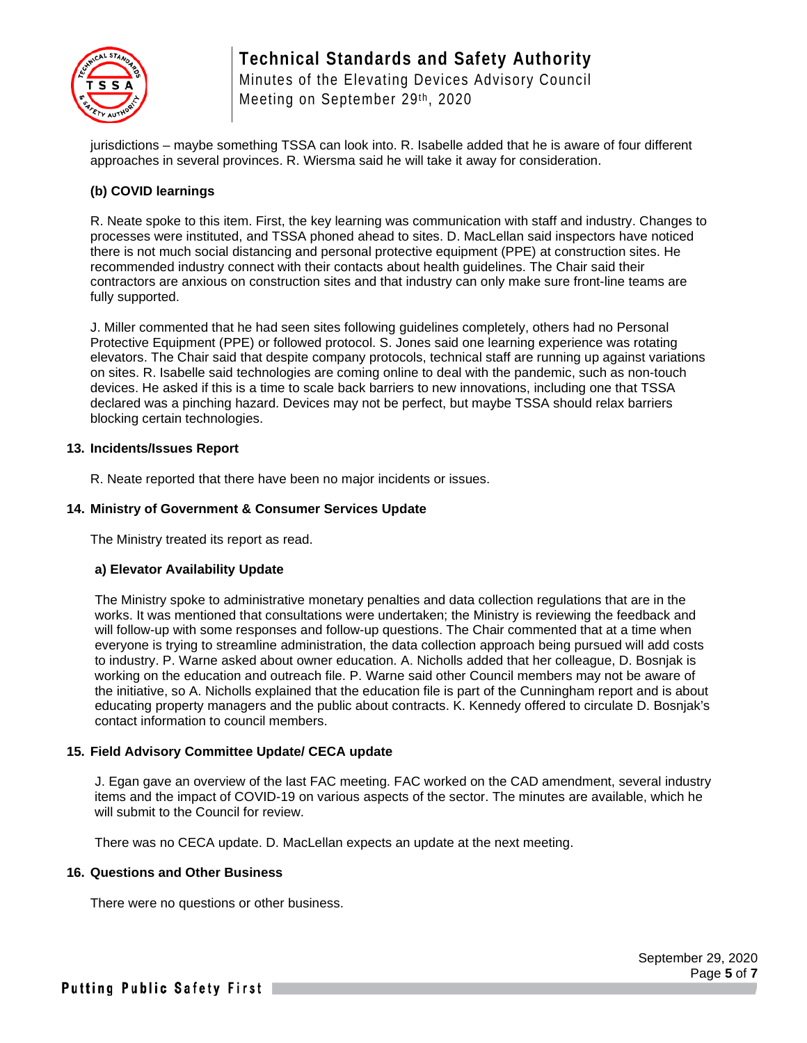

## **Technical Standards and Safety Authority** Minutes of the Elevating Devices Advisory Council Meeting on September 29th, 2020

jurisdictions – maybe something TSSA can look into. R. Isabelle added that he is aware of four different approaches in several provinces. R. Wiersma said he will take it away for consideration.

#### **(b) COVID learnings**

R. Neate spoke to this item. First, the key learning was communication with staff and industry. Changes to processes were instituted, and TSSA phoned ahead to sites. D. MacLellan said inspectors have noticed there is not much social distancing and personal protective equipment (PPE) at construction sites. He recommended industry connect with their contacts about health guidelines. The Chair said their contractors are anxious on construction sites and that industry can only make sure front-line teams are fully supported.

J. Miller commented that he had seen sites following guidelines completely, others had no Personal Protective Equipment (PPE) or followed protocol. S. Jones said one learning experience was rotating elevators. The Chair said that despite company protocols, technical staff are running up against variations on sites. R. Isabelle said technologies are coming online to deal with the pandemic, such as non-touch devices. He asked if this is a time to scale back barriers to new innovations, including one that TSSA declared was a pinching hazard. Devices may not be perfect, but maybe TSSA should relax barriers blocking certain technologies.

#### **13. Incidents/Issues Report**

R. Neate reported that there have been no major incidents or issues.

#### **14. Ministry of Government & Consumer Services Update**

The Ministry treated its report as read.

#### **a) Elevator Availability Update**

The Ministry spoke to administrative monetary penalties and data collection regulations that are in the works. It was mentioned that consultations were undertaken; the Ministry is reviewing the feedback and will follow-up with some responses and follow-up questions. The Chair commented that at a time when everyone is trying to streamline administration, the data collection approach being pursued will add costs to industry. P. Warne asked about owner education. A. Nicholls added that her colleague, D. Bosnjak is working on the education and outreach file. P. Warne said other Council members may not be aware of the initiative, so A. Nicholls explained that the education file is part of the Cunningham report and is about educating property managers and the public about contracts. K. Kennedy offered to circulate D. Bosnjak's contact information to council members.

#### **15. Field Advisory Committee Update/ CECA update**

J. Egan gave an overview of the last FAC meeting. FAC worked on the CAD amendment, several industry items and the impact of COVID-19 on various aspects of the sector. The minutes are available, which he will submit to the Council for review.

There was no CECA update. D. MacLellan expects an update at the next meeting.

#### **16. Questions and Other Business**

There were no questions or other business.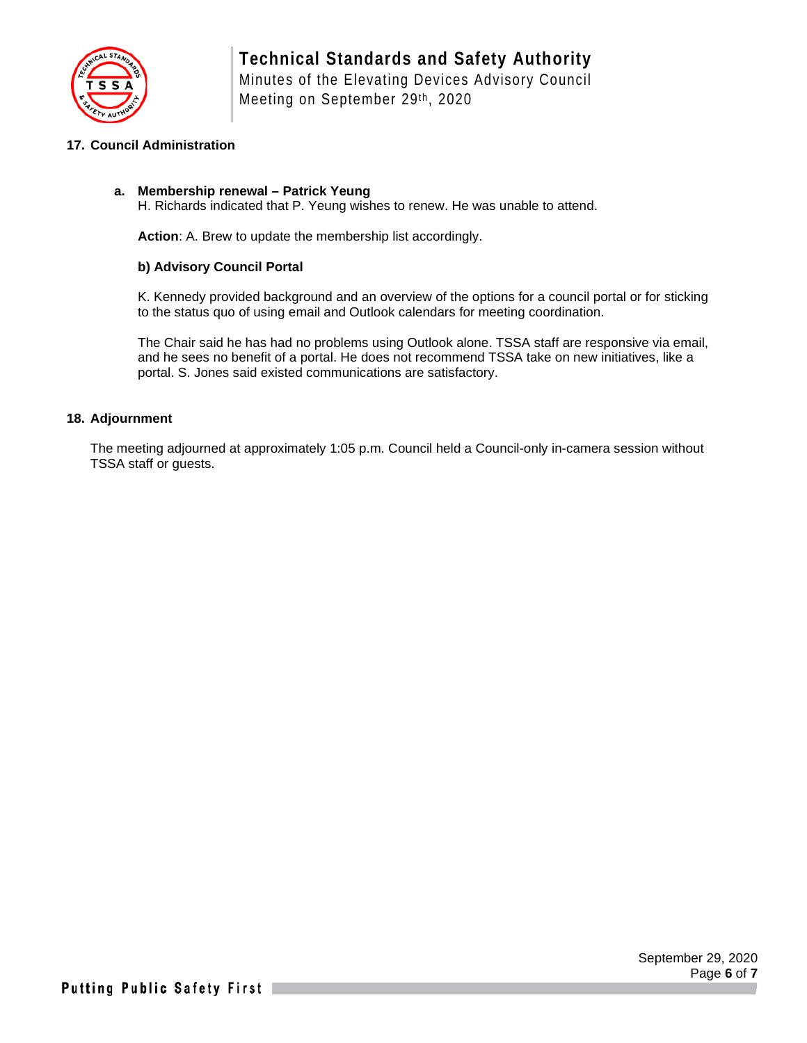

#### **17. Council Administration**

#### **a. Membership renewal – Patrick Yeung**

H. Richards indicated that P. Yeung wishes to renew. He was unable to attend.

**Action**: A. Brew to update the membership list accordingly.

#### **b) Advisory Council Portal**

K. Kennedy provided background and an overview of the options for a council portal or for sticking to the status quo of using email and Outlook calendars for meeting coordination.

The Chair said he has had no problems using Outlook alone. TSSA staff are responsive via email, and he sees no benefit of a portal. He does not recommend TSSA take on new initiatives, like a portal. S. Jones said existed communications are satisfactory.

#### **18. Adjournment**

The meeting adjourned at approximately 1:05 p.m. Council held a Council-only in-camera session without TSSA staff or guests.